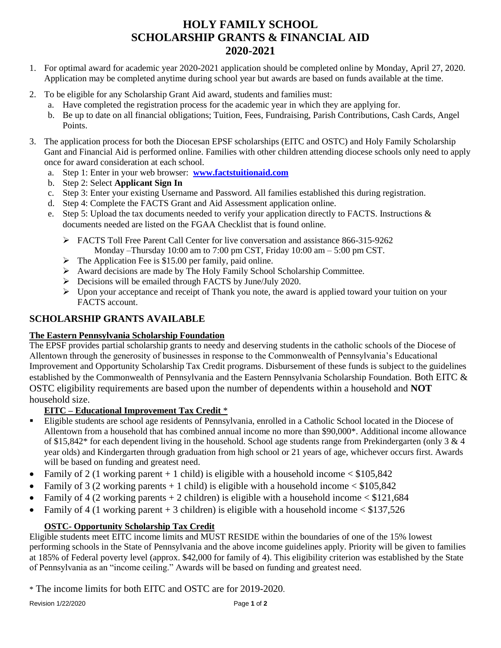# **HOLY FAMILY SCHOOL SCHOLARSHIP GRANTS & FINANCIAL AID 2020-2021**

- 1. For optimal award for academic year 2020-2021 application should be completed online by Monday, April 27, 2020. Application may be completed anytime during school year but awards are based on funds available at the time.
- 2. To be eligible for any Scholarship Grant Aid award, students and families must:
	- a. Have completed the registration process for the academic year in which they are applying for.
	- b. Be up to date on all financial obligations; Tuition, Fees, Fundraising, Parish Contributions, Cash Cards, Angel Points.
- 3. The application process for both the Diocesan EPSF scholarships (EITC and OSTC) and Holy Family Scholarship Gant and Financial Aid is performed online. Families with other children attending diocese schools only need to apply once for award consideration at each school.
	- a. Step 1: Enter in your web browser: **[www.factstuitionaid.com](http://www.factstuitionaid.com/)**
	- b. Step 2: Select **Applicant Sign In**
	- c. Step 3: Enter your existing Username and Password. All families established this during registration.
	- d. Step 4: Complete the FACTS Grant and Aid Assessment application online.
	- e. Step 5: Upload the tax documents needed to verify your application directly to FACTS. Instructions & documents needed are listed on the FGAA Checklist that is found online.
		- FACTS Toll Free Parent Call Center for live conversation and assistance 866-315-9262 Monday –Thursday 10:00 am to 7:00 pm CST, Friday 10:00 am – 5:00 pm CST.
		- $\triangleright$  The Application Fee is \$15.00 per family, paid online.
		- Award decisions are made by The Holy Family School Scholarship Committee.
		- Decisions will be emailed through FACTS by June/July 2020.
		- $\triangleright$  Upon your acceptance and receipt of Thank you note, the award is applied toward your tuition on your FACTS account.

# **SCHOLARSHIP GRANTS AVAILABLE**

## **The Eastern Pennsylvania Scholarship Foundation**

The EPSF provides partial scholarship grants to needy and deserving students in the catholic schools of the Diocese of Allentown through the generosity of businesses in response to the Commonwealth of Pennsylvania's Educational Improvement and Opportunity Scholarship Tax Credit programs. Disbursement of these funds is subject to the guidelines established by the Commonwealth of Pennsylvania and the Eastern Pennsylvania Scholarship Foundation. Both EITC & OSTC eligibility requirements are based upon the number of dependents within a household and **NOT**  household size.

## **EITC – Educational Improvement Tax Credit** \*

- Eligible students are school age residents of Pennsylvania, enrolled in a Catholic School located in the Diocese of Allentown from a household that has combined annual income no more than \$90,000\*. Additional income allowance of \$15,842\* for each dependent living in the household. School age students range from Prekindergarten (only 3 & 4 year olds) and Kindergarten through graduation from high school or 21 years of age, whichever occurs first. Awards will be based on funding and greatest need.
- Family of 2 (1 working parent  $+1$  child) is eligible with a household income  $\leq$  \$105,842
- Family of 3 (2 working parents  $+1$  child) is eligible with a household income  $<$  \$105,842
- Family of 4 (2 working parents  $+ 2$  children) is eligible with a household income  $<$  \$121,684
- Family of 4 (1 working parent + 3 children) is eligible with a household income  $\langle $137,526 \rangle$

## **OSTC- Opportunity Scholarship Tax Credit**

Eligible students meet EITC income limits and MUST RESIDE within the boundaries of one of the 15% lowest performing schools in the State of Pennsylvania and the above income guidelines apply. Priority will be given to families at 185% of Federal poverty level (approx. \$42,000 for family of 4). This eligibility criterion was established by the State of Pennsylvania as an "income ceiling." Awards will be based on funding and greatest need.

\* The income limits for both EITC and OSTC are for 2019-2020.